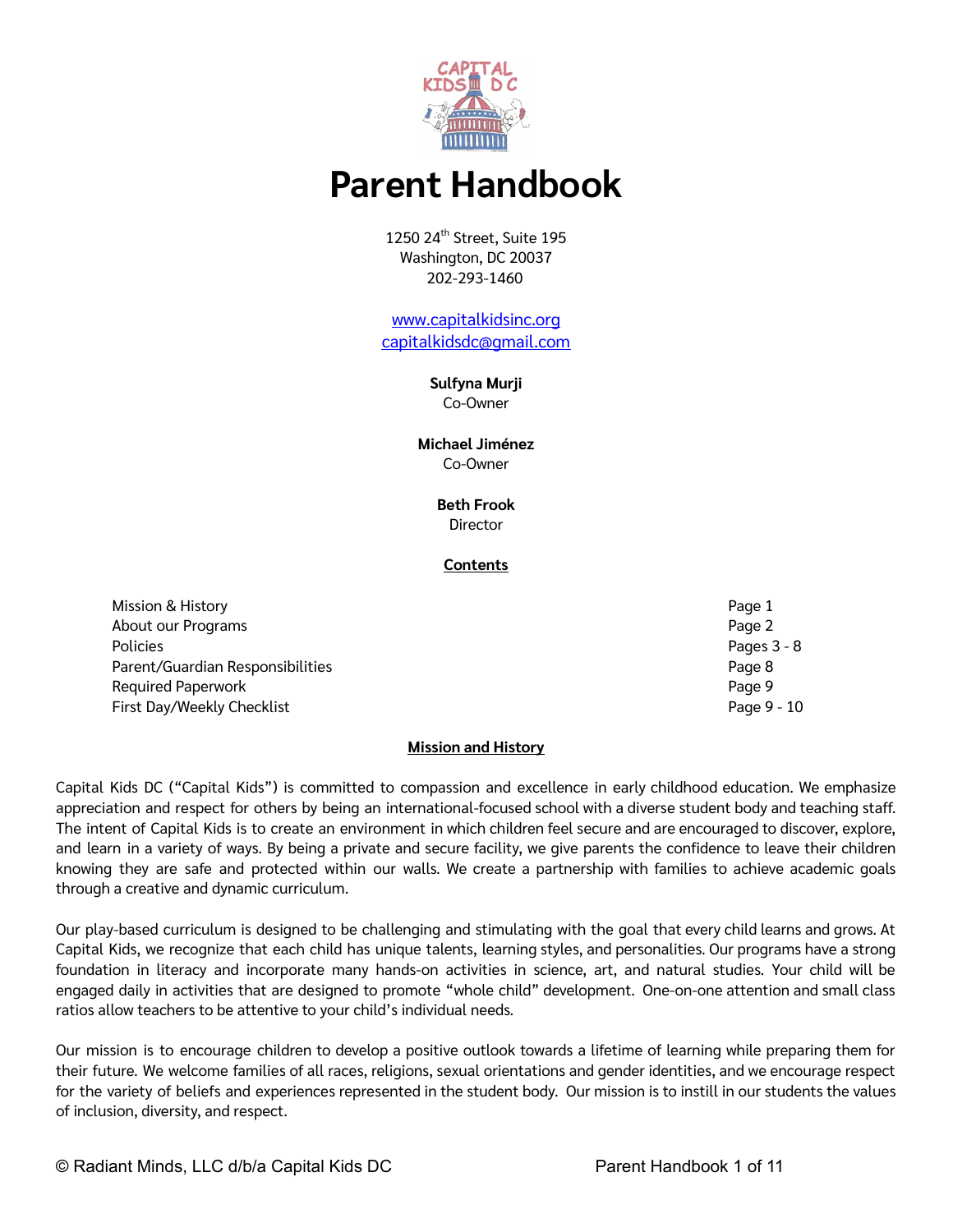

# **Parent Handbook**

1250 24<sup>th</sup> Street, Suite 195 Washington, DC 20037 202-293-1460

[www.capitalkidsinc.org](http://www.capitalkidsinc.org/) [capitalkidsdc@gmail.com](mailto:capitalkidsdc@gmail.com)

# **Sulfyna Murji**

Co-Owner

# **Michael Jiménez** Co-Owner

# **Beth Frook** Director

# **Contents**

Mission & History Page 1 About our Programs **Page 2** and the set of the set of the set of the set of the set of the set of the set of the set of the set of the set of the set of the set of the set of the set of the set of the set of the set of the Policies Pages 3 - 8 Parent/Guardian Responsibilities **Parent** Accounts and the Page 8 and the Page 8 and the Page 8 and the Page 8 and the Page 8 and the Page 8 and the Page 8 and the Page 8 and the Page 8 and the Page 8 and the Page 8 and th Required Paperwork **Page 9** First Day/Weekly Checklist Page 9 - 10

# **Mission and History**

Capital Kids DC ("Capital Kids") is committed to compassion and excellence in early childhood education. We emphasize appreciation and respect for others by being an international-focused school with a diverse student body and teaching staff. The intent of Capital Kids is to create an environment in which children feel secure and are encouraged to discover, explore, and learn in a variety of ways. By being a private and secure facility, we give parents the confidence to leave their children knowing they are safe and protected within our walls. We create a partnership with families to achieve academic goals through a creative and dynamic curriculum.

Our play-based curriculum is designed to be challenging and stimulating with the goal that every child learns and grows. At Capital Kids, we recognize that each child has unique talents, learning styles, and personalities. Our programs have a strong foundation in literacy and incorporate many hands-on activities in science, art, and natural studies. Your child will be engaged daily in activities that are designed to promote "whole child" development. One-on-one attention and small class ratios allow teachers to be attentive to your child's individual needs.

Our mission is to encourage children to develop a positive outlook towards a lifetime of learning while preparing them for their future. We welcome families of all races, religions, sexual orientations and gender identities, and we encourage respect for the variety of beliefs and experiences represented in the student body. Our mission is to instill in our students the values of inclusion, diversity, and respect.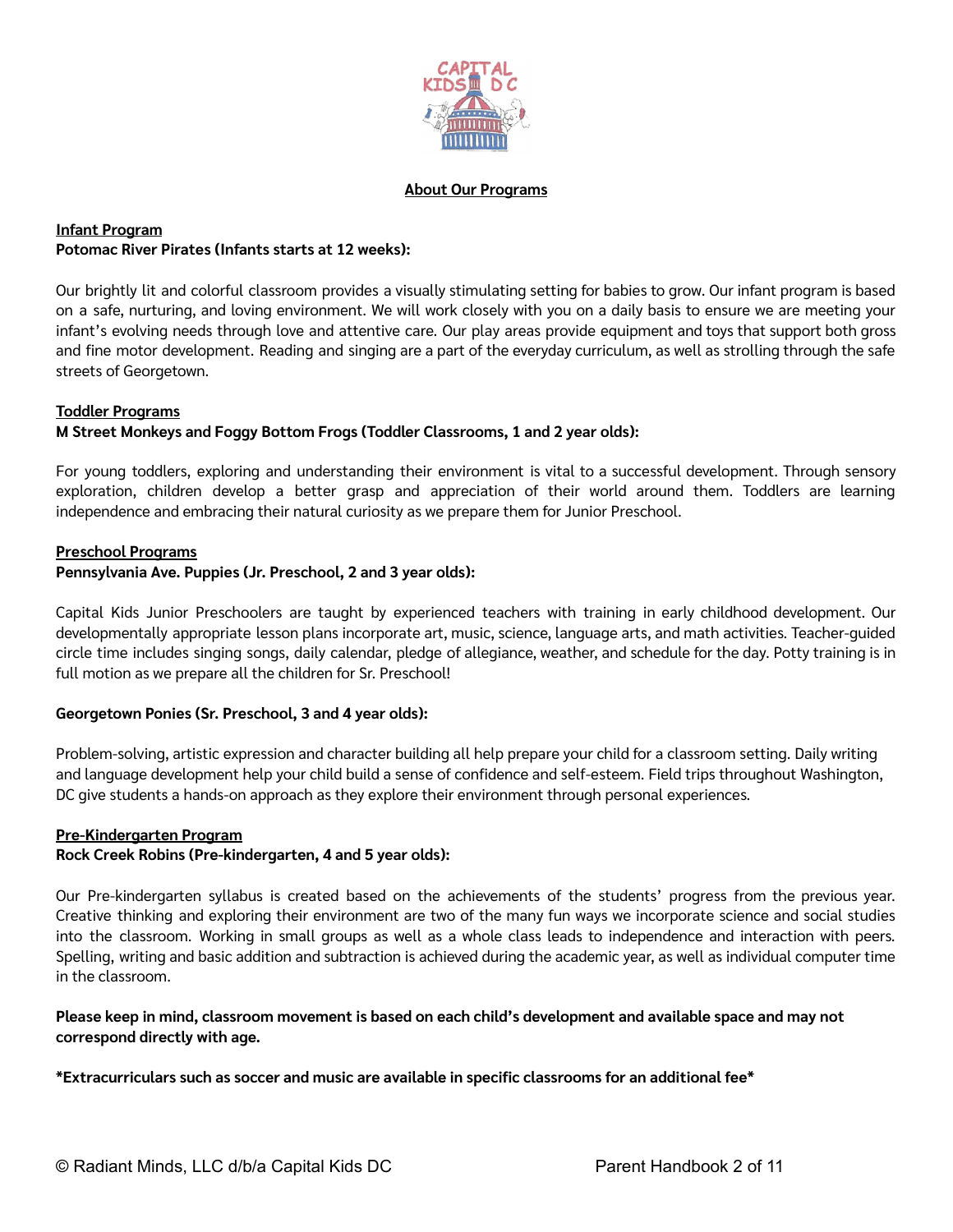

#### **About Our Programs**

# **Infant Program Potomac River Pirates (Infants starts at 12 weeks):**

Our brightly lit and colorful classroom provides a visually stimulating setting for babies to grow. Our infant program is based on a safe, nurturing, and loving environment. We will work closely with you on a daily basis to ensure we are meeting your infant's evolving needs through love and attentive care. Our play areas provide equipment and toys that support both gross and fine motor development. Reading and singing are a part of the everyday curriculum, as well as strolling through the safe streets of Georgetown.

#### **Toddler Programs**

# **M Street Monkeys and Foggy Bottom Frogs (Toddler Classrooms, 1 and 2 year olds):**

For young toddlers, exploring and understanding their environment is vital to a successful development. Through sensory exploration, children develop a better grasp and appreciation of their world around them. Toddlers are learning independence and embracing their natural curiosity as we prepare them for Junior Preschool.

#### **Preschool Programs**

#### **Pennsylvania Ave. Puppies (Jr. Preschool, 2 and 3 year olds):**

Capital Kids Junior Preschoolers are taught by experienced teachers with training in early childhood development. Our developmentally appropriate lesson plans incorporate art, music, science, language arts, and math activities. Teacher-guided circle time includes singing songs, daily calendar, pledge of allegiance, weather, and schedule for the day. Potty training is in full motion as we prepare all the children for Sr. Preschool!

#### **Georgetown Ponies (Sr. Preschool, 3 and 4 year olds):**

Problem-solving, artistic expression and character building all help prepare your child for a classroom setting. Daily writing and language development help your child build a sense of confidence and self-esteem. Field trips throughout Washington, DC give students a hands-on approach as they explore their environment through personal experiences.

#### **Pre-Kindergarten Program**

#### **Rock Creek Robins (Pre-kindergarten, 4 and 5 year olds):**

Our Pre-kindergarten syllabus is created based on the achievements of the students' progress from the previous year. Creative thinking and exploring their environment are two of the many fun ways we incorporate science and social studies into the classroom. Working in small groups as well as a whole class leads to independence and interaction with peers. Spelling, writing and basic addition and subtraction is achieved during the academic year, as well as individual computer time in the classroom.

#### Please keep in mind, classroom movement is based on each child's development and available space and may not **correspond directly with age.**

**\*Extracurriculars such as soccer and music are available in specific classrooms for an additional fee\***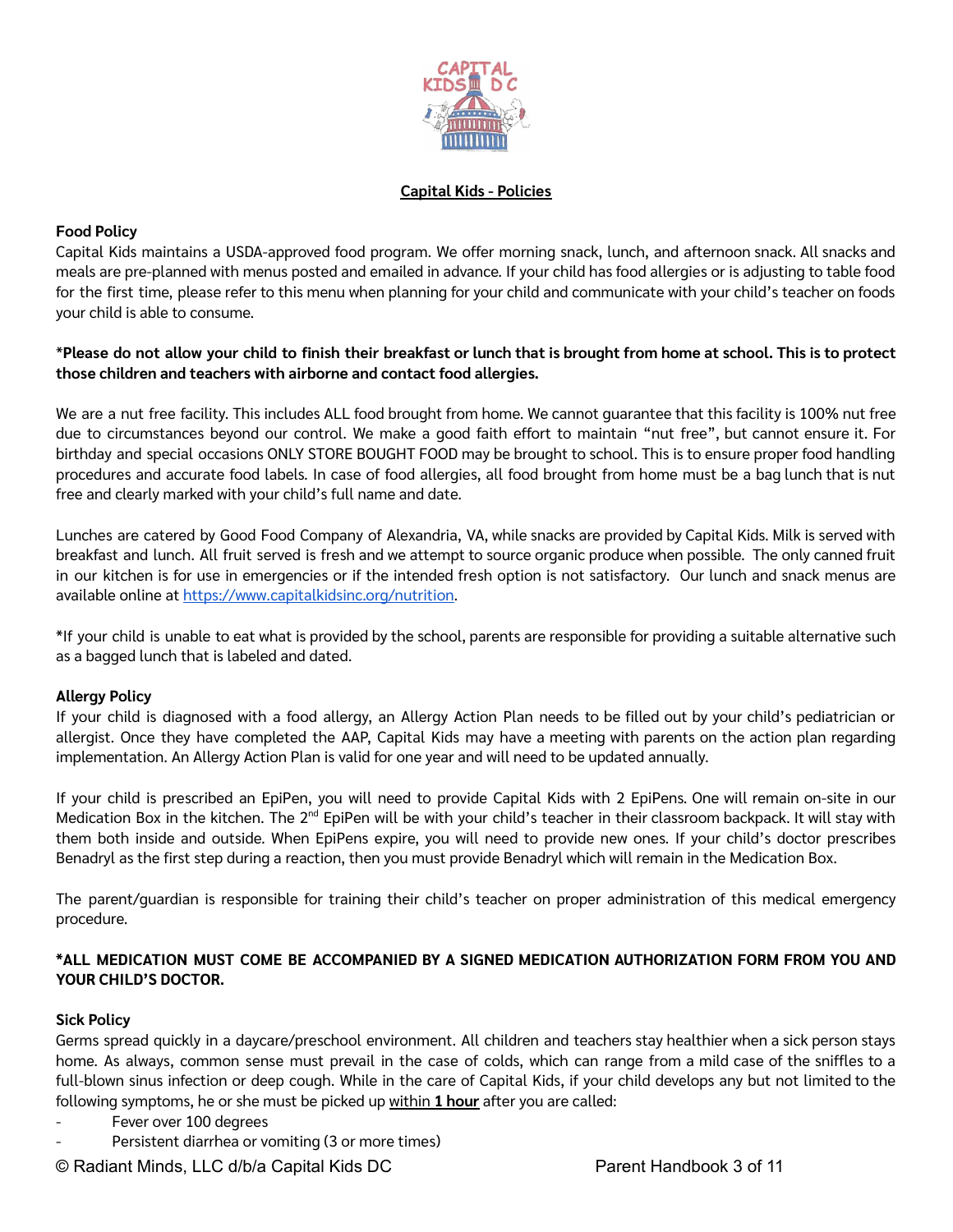

## **Capital Kids - Policies**

# **Food Policy**

Capital Kids maintains a USDA-approved food program. We offer morning snack, lunch, and afternoon snack. All snacks and meals are pre-planned with menus posted and emailed in advance. If your child has food allergies or is adjusting to table food for the first time, please refer to this menu when planning for your child and communicate with your child's teacher on foods your child is able to consume.

## \*Please do not allow your child to finish their breakfast or lunch that is brought from home at school. This is to protect **those children and teachers with airborne and contact food allergies.**

We are a nut free facility. This includes ALL food brought from home. We cannot guarantee that this facility is 100% nut free due to circumstances beyond our control. We make a good faith effort to maintain "nut free", but cannot ensure it. For birthday and special occasions ONLY STORE BOUGHT FOOD may be brought to school. This is to ensure proper food handling procedures and accurate food labels. In case of food allergies, all food brought from home must be a bag lunch that is nut free and clearly marked with your child's full name and date.

Lunches are catered by Good Food Company of Alexandria, VA, while snacks are provided by Capital Kids. Milk is served with breakfast and lunch. All fruit served is fresh and we attempt to source organic produce when possible. The only canned fruit in our kitchen is for use in emergencies or if the intended fresh option is not satisfactory. Our lunch and snack menus are available online at [https://www.capitalkidsinc.org/nutrition.](https://www.capitalkidsinc.org/nutrition)

\*If your child is unable to eat what is provided by the school, parents are responsible for providing a suitable alternative such as a bagged lunch that is labeled and dated.

#### **Allergy Policy**

If your child is diagnosed with a food allergy, an Allergy Action Plan needs to be filled out by your child's pediatrician or allergist. Once they have completed the AAP, Capital Kids may have a meeting with parents on the action plan regarding implementation. An Allergy Action Plan is valid for one year and will need to be updated annually.

If your child is prescribed an EpiPen, you will need to provide Capital Kids with 2 EpiPens. One will remain on-site in our Medication Box in the kitchen. The 2<sup>nd</sup> EpiPen will be with your child's teacher in their classroom backpack. It will stay with them both inside and outside. When EpiPens expire, you will need to provide new ones. If your child's doctor prescribes Benadryl as the first step during a reaction, then you must provide Benadryl which will remain in the Medication Box.

The parent/guardian is responsible for training their child's teacher on proper administration of this medical emergency procedure.

# **\*ALL MEDICATION MUST COME BE ACCOMPANIED BY A SIGNED MEDICATION AUTHORIZATION FORM FROM YOU AND YOUR CHILD'S DOCTOR.**

#### **Sick Policy**

Germs spread quickly in a daycare/preschool environment. All children and teachers stay healthier when a sick person stays home. As always, common sense must prevail in the case of colds, which can range from a mild case of the sniffles to a full-blown sinus infection or deep cough. While in the care of Capital Kids, if your child develops any but not limited to the following symptoms, he or she must be picked up within **1 hour** after you are called:

- Fever over 100 degrees
- Persistent diarrhea or vomiting (3 or more times)

© Radiant Minds, LLC d/b/a Capital Kids DC Parent Handbook 3 of 11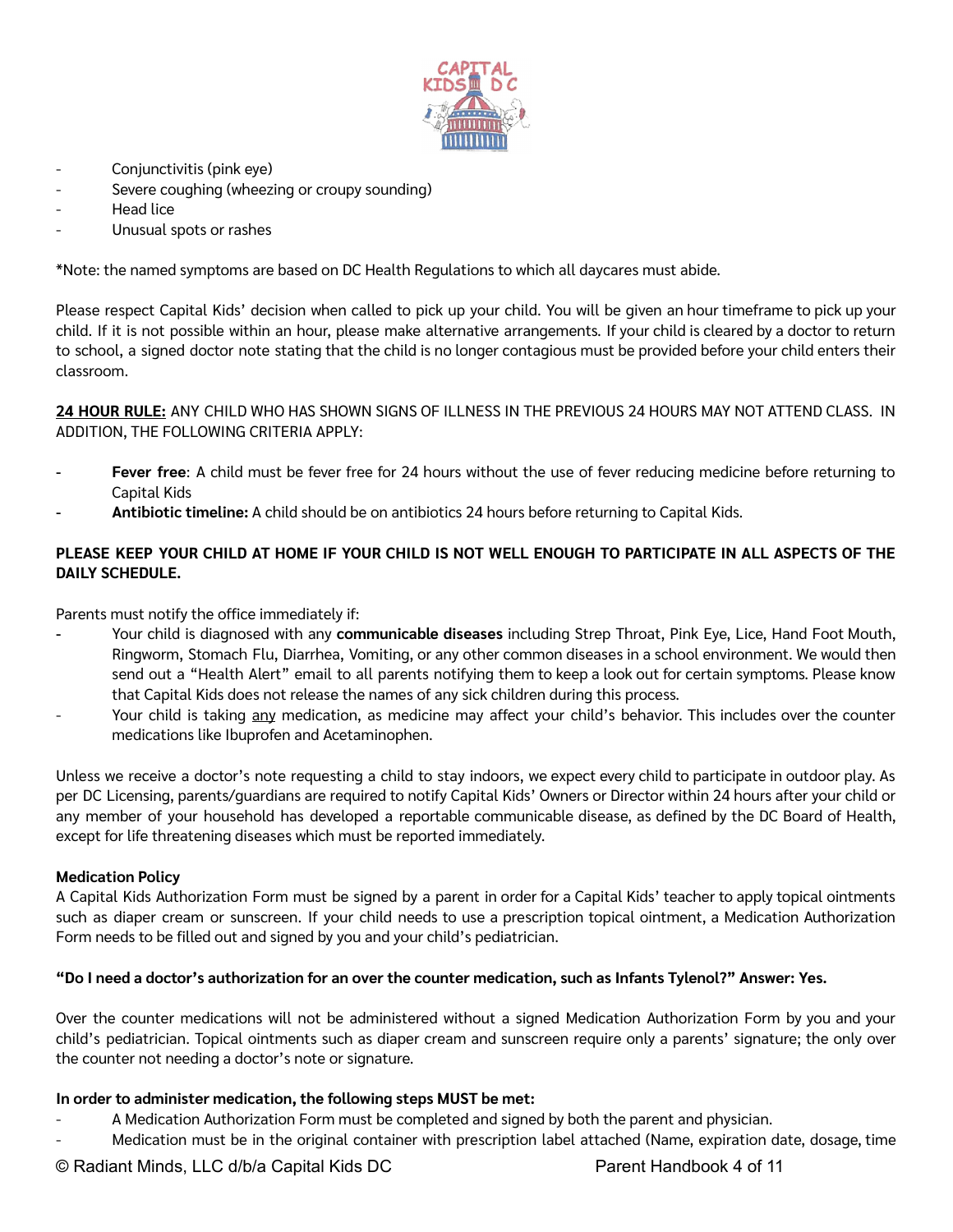

- Conjunctivitis (pink eye)
- Severe coughing (wheezing or croupy sounding)
- Head lice
- Unusual spots or rashes

\*Note: the named symptoms are based on DC Health Regulations to which all daycares must abide.

Please respect Capital Kids' decision when called to pick up your child. You will be given an hour timeframe to pick up your child. If it is not possible within an hour, please make alternative arrangements. If your child is cleared by a doctor to return to school, a signed doctor note stating that the child is no longer contagious must be provided before your child enters their classroom.

**24 HOUR RULE:** ANY CHILD WHO HAS SHOWN SIGNS OF ILLNESS IN THE PREVIOUS 24 HOURS MAY NOT ATTEND CLASS. IN ADDITION, THE FOLLOWING CRITERIA APPLY:

- Fever free: A child must be fever free for 24 hours without the use of fever reducing medicine before returning to Capital Kids
- **Antibiotic timeline:** A child should be on antibiotics 24 hours before returning to Capital Kids.

# PLEASE KEEP YOUR CHILD AT HOME IF YOUR CHILD IS NOT WELL ENOUGH TO PARTICIPATE IN ALL ASPECTS OF THE **DAILY SCHEDULE.**

Parents must notify the office immediately if:

- Your child is diagnosed with any **communicable diseases** including Strep Throat, Pink Eye, Lice, Hand Foot Mouth, Ringworm, Stomach Flu, Diarrhea, Vomiting, or any other common diseases in a school environment. We would then send out a "Health Alert" email to all parents notifying them to keep a look out for certain symptoms. Please know that Capital Kids does not release the names of any sick children during this process.
- Your child is taking any medication, as medicine may affect your child's behavior. This includes over the counter medications like Ibuprofen and Acetaminophen.

Unless we receive a doctor's note requesting a child to stay indoors, we expect every child to participate in outdoor play. As per DC Licensing, parents/guardians are required to notify Capital Kids' Owners or Director within 24 hours after your child or any member of your household has developed a reportable communicable disease, as defined by the DC Board of Health, except for life threatening diseases which must be reported immediately.

#### **Medication Policy**

A Capital Kids Authorization Form must be signed by a parent in order for a Capital Kids' teacher to apply topical ointments such as diaper cream or sunscreen. If your child needs to use a prescription topical ointment, a Medication Authorization Form needs to be filled out and signed by you and your child's pediatrician.

#### "Do I need a doctor's authorization for an over the counter medication, such as Infants Tylenol?" Answer: Yes.

Over the counter medications will not be administered without a signed Medication Authorization Form by you and your child's pediatrician. Topical ointments such as diaper cream and sunscreen require only a parents' signature; the only over the counter not needing a doctor's note or signature.

#### **In order to administer medication, the following steps MUST be met:**

- A Medication Authorization Form must be completed and signed by both the parent and physician.
- Medication must be in the original container with prescription label attached (Name, expiration date, dosage, time

© Radiant Minds, LLC d/b/a Capital Kids DC Parent Handbook 4 of 11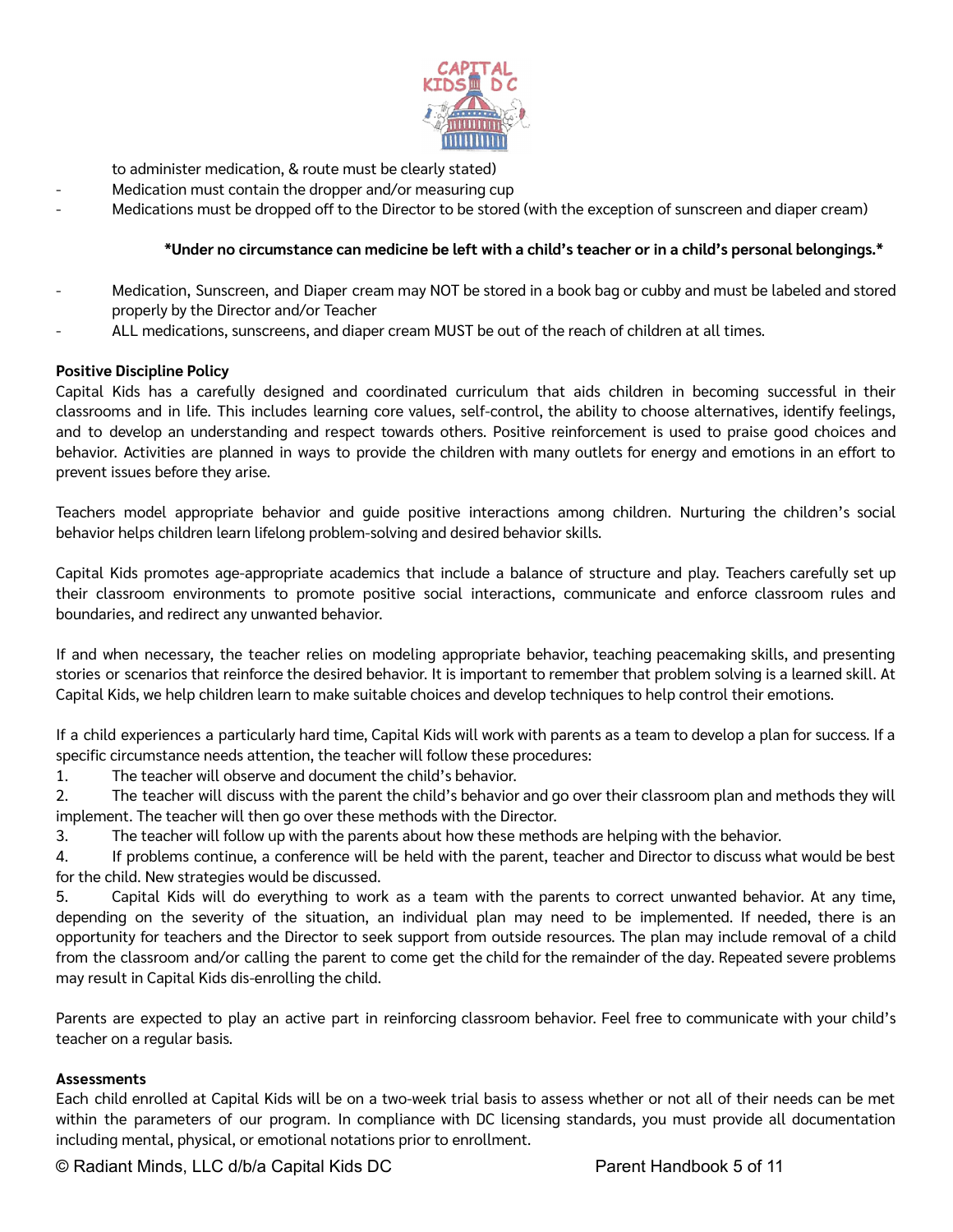

to administer medication, & route must be clearly stated)

- Medication must contain the dropper and/or measuring cup
- Medications must be dropped off to the Director to be stored (with the exception of sunscreen and diaper cream)

#### **\*Under no circumstance can medicine be left with a child's teacher or in a child's personal belongings.\***

- Medication, Sunscreen, and Diaper cream may NOT be stored in a book bag or cubby and must be labeled and stored properly by the Director and/or Teacher
- ALL medications, sunscreens, and diaper cream MUST be out of the reach of children at all times.

#### **Positive Discipline Policy**

Capital Kids has a carefully designed and coordinated curriculum that aids children in becoming successful in their classrooms and in life. This includes learning core values, self-control, the ability to choose alternatives, identify feelings, and to develop an understanding and respect towards others. Positive reinforcement is used to praise good choices and behavior. Activities are planned in ways to provide the children with many outlets for energy and emotions in an effort to prevent issues before they arise.

Teachers model appropriate behavior and guide positive interactions among children. Nurturing the children's social behavior helps children learn lifelong problem-solving and desired behavior skills.

Capital Kids promotes age-appropriate academics that include a balance of structure and play. Teachers carefully set up their classroom environments to promote positive social interactions, communicate and enforce classroom rules and boundaries, and redirect any unwanted behavior.

If and when necessary, the teacher relies on modeling appropriate behavior, teaching peacemaking skills, and presenting stories or scenarios that reinforce the desired behavior. It is important to remember that problem solving is a learned skill. At Capital Kids, we help children learn to make suitable choices and develop techniques to help control their emotions.

If a child experiences a particularly hard time, Capital Kids will work with parents as a team to develop a plan for success. If a specific circumstance needs attention, the teacher will follow these procedures:

1. The teacher will observe and document the child's behavior.

2. The teacher will discuss with the parent the child's behavior and go over their classroom plan and methods they will implement. The teacher will then go over these methods with the Director.

3. The teacher will follow up with the parents about how these methods are helping with the behavior.

4. If problems continue, a conference will be held with the parent, teacher and Director to discuss what would be best for the child. New strategies would be discussed.

5. Capital Kids will do everything to work as a team with the parents to correct unwanted behavior. At any time, depending on the severity of the situation, an individual plan may need to be implemented. If needed, there is an opportunity for teachers and the Director to seek support from outside resources. The plan may include removal of a child from the classroom and/or calling the parent to come get the child for the remainder of the day. Repeated severe problems may result in Capital Kids dis-enrolling the child.

Parents are expected to play an active part in reinforcing classroom behavior. Feel free to communicate with your child's teacher on a regular basis.

#### **Assessments**

Each child enrolled at Capital Kids will be on a two-week trial basis to assess whether or not all of their needs can be met within the parameters of our program. In compliance with DC licensing standards, you must provide all documentation including mental, physical, or emotional notations prior to enrollment.

© Radiant Minds, LLC d/b/a Capital Kids DC Parent Handbook 5 of 11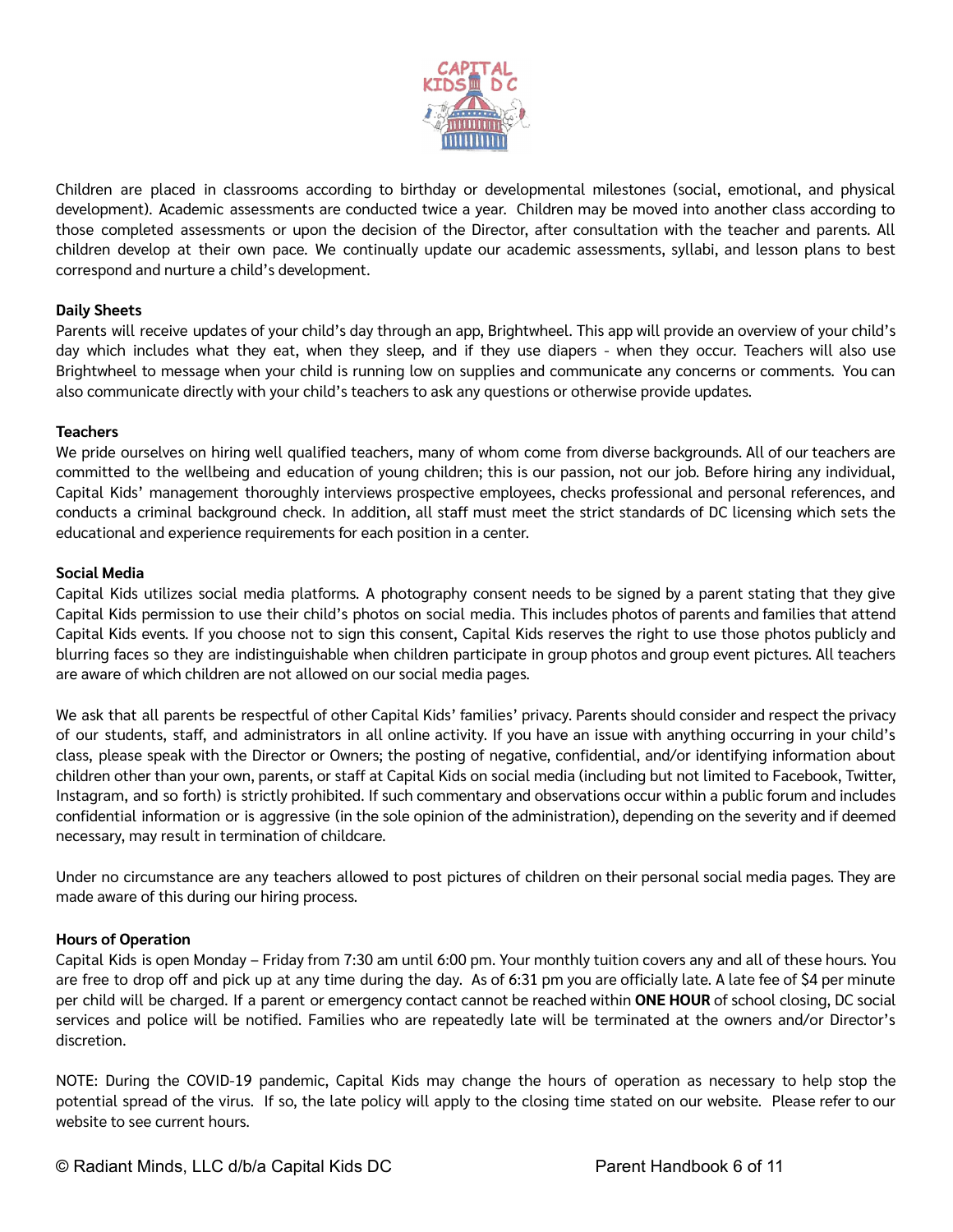

Children are placed in classrooms according to birthday or developmental milestones (social, emotional, and physical development). Academic assessments are conducted twice a year. Children may be moved into another class according to those completed assessments or upon the decision of the Director, after consultation with the teacher and parents. All children develop at their own pace. We continually update our academic assessments, syllabi, and lesson plans to best correspond and nurture a child's development.

#### **Daily Sheets**

Parents will receive updates of your child's day through an app, Brightwheel. This app will provide an overview of your child's day which includes what they eat, when they sleep, and if they use diapers - when they occur. Teachers will also use Brightwheel to message when your child is running low on supplies and communicate any concerns or comments. You can also communicate directly with your child's teachers to ask any questions or otherwise provide updates.

#### **Teachers**

We pride ourselves on hiring well qualified teachers, many of whom come from diverse backgrounds. All of our teachers are committed to the wellbeing and education of young children; this is our passion, not our job. Before hiring any individual, Capital Kids' management thoroughly interviews prospective employees, checks professional and personal references, and conducts a criminal background check. In addition, all staff must meet the strict standards of DC licensing which sets the educational and experience requirements for each position in a center.

#### **Social Media**

Capital Kids utilizes social media platforms. A photography consent needs to be signed by a parent stating that they give Capital Kids permission to use their child's photos on social media. This includes photos of parents and families that attend Capital Kids events. If you choose not to sign this consent, Capital Kids reserves the right to use those photos publicly and blurring faces so they are indistinguishable when children participate in group photos and group event pictures. All teachers are aware of which children are not allowed on our social media pages.

We ask that all parents be respectful of other Capital Kids' families' privacy. Parents should consider and respect the privacy of our students, staff, and administrators in all online activity. If you have an issue with anything occurring in your child's class, please speak with the Director or Owners; the posting of negative, confidential, and/or identifying information about children other than your own, parents, or staff at Capital Kids on social media (including but not limited to Facebook, Twitter, Instagram, and so forth) is strictly prohibited. If such commentary and observations occur within a public forum and includes confidential information or is aggressive (in the sole opinion of the administration), depending on the severity and if deemed necessary, may result in termination of childcare.

Under no circumstance are any teachers allowed to post pictures of children on their personal social media pages. They are made aware of this during our hiring process.

#### **Hours of Operation**

Capital Kids is open Monday – Friday from 7:30 am until 6:00 pm. Your monthly tuition covers any and all of these hours. You are free to drop off and pick up at any time during the day. As of 6:31 pm you are officially late. A late fee of \$4 per minute per child will be charged. If a parent or emergency contact cannot be reached within **ONE HOUR** of school closing, DC social services and police will be notified. Families who are repeatedly late will be terminated at the owners and/or Director's discretion.

NOTE: During the COVID-19 pandemic, Capital Kids may change the hours of operation as necessary to help stop the potential spread of the virus. If so, the late policy will apply to the closing time stated on our website. Please refer to our website to see current hours.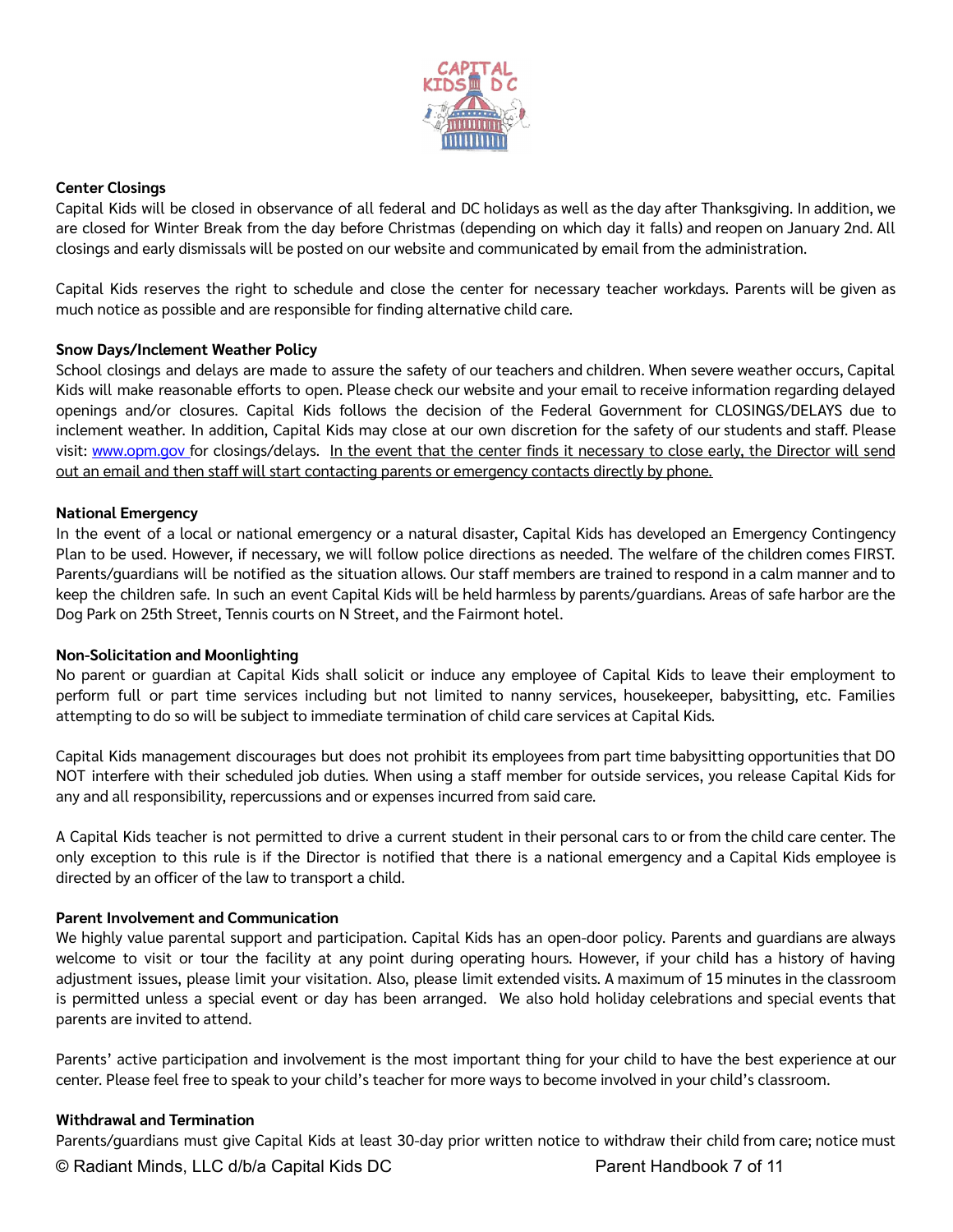

#### **Center Closings**

Capital Kids will be closed in observance of all federal and DC holidays as well as the day after Thanksgiving. In addition, we are closed for Winter Break from the day before Christmas (depending on which day it falls) and reopen on January 2nd. All closings and early dismissals will be posted on our website and communicated by email from the administration.

Capital Kids reserves the right to schedule and close the center for necessary teacher workdays. Parents will be given as much notice as possible and are responsible for finding alternative child care.

#### **Snow Days/Inclement Weather Policy**

School closings and delays are made to assure the safety of our teachers and children. When severe weather occurs, Capital Kids will make reasonable efforts to open. Please check our website and your email to receive information regarding delayed openings and/or closures. Capital Kids follows the decision of the Federal Government for CLOSINGS/DELAYS due to inclement weather. In addition, Capital Kids may close at our own discretion for the safety of our students and staff. Please visit: www.opm.gov for closings/delays. In the event that the center finds it necessary to close early, the Director will send out an email and then staff will start contacting parents or emergency contacts directly by phone.

#### **National Emergency**

In the event of a local or national emergency or a natural disaster, Capital Kids has developed an Emergency Contingency Plan to be used. However, if necessary, we will follow police directions as needed. The welfare of the children comes FIRST. Parents/guardians will be notified as the situation allows. Our staff members are trained to respond in a calm manner and to keep the children safe. In such an event Capital Kids will be held harmless by parents/guardians. Areas of safe harbor are the Dog Park on 25th Street, Tennis courts on N Street, and the Fairmont hotel.

#### **Non-Solicitation and Moonlighting**

No parent or guardian at Capital Kids shall solicit or induce any employee of Capital Kids to leave their employment to perform full or part time services including but not limited to nanny services, housekeeper, babysitting, etc. Families attempting to do so will be subject to immediate termination of child care services at Capital Kids.

Capital Kids management discourages but does not prohibit its employees from part time babysitting opportunities that DO NOT interfere with their scheduled job duties. When using a staff member for outside services, you release Capital Kids for any and all responsibility, repercussions and or expenses incurred from said care.

A Capital Kids teacher is not permitted to drive a current student in their personal cars to or from the child care center. The only exception to this rule is if the Director is notified that there is a national emergency and a Capital Kids employee is directed by an officer of the law to transport a child.

#### **Parent Involvement and Communication**

We highly value parental support and participation. Capital Kids has an open-door policy. Parents and guardians are always welcome to visit or tour the facility at any point during operating hours. However, if your child has a history of having adjustment issues, please limit your visitation. Also, please limit extended visits. A maximum of 15 minutes in the classroom is permitted unless a special event or day has been arranged. We also hold holiday celebrations and special events that parents are invited to attend.

Parents' active participation and involvement is the most important thing for your child to have the best experience at our center. Please feel free to speak to your child's teacher for more ways to become involved in your child's classroom.

#### **Withdrawal and Termination**

Parents/guardians must give Capital Kids at least 30-day prior written notice to withdraw their child from care; notice must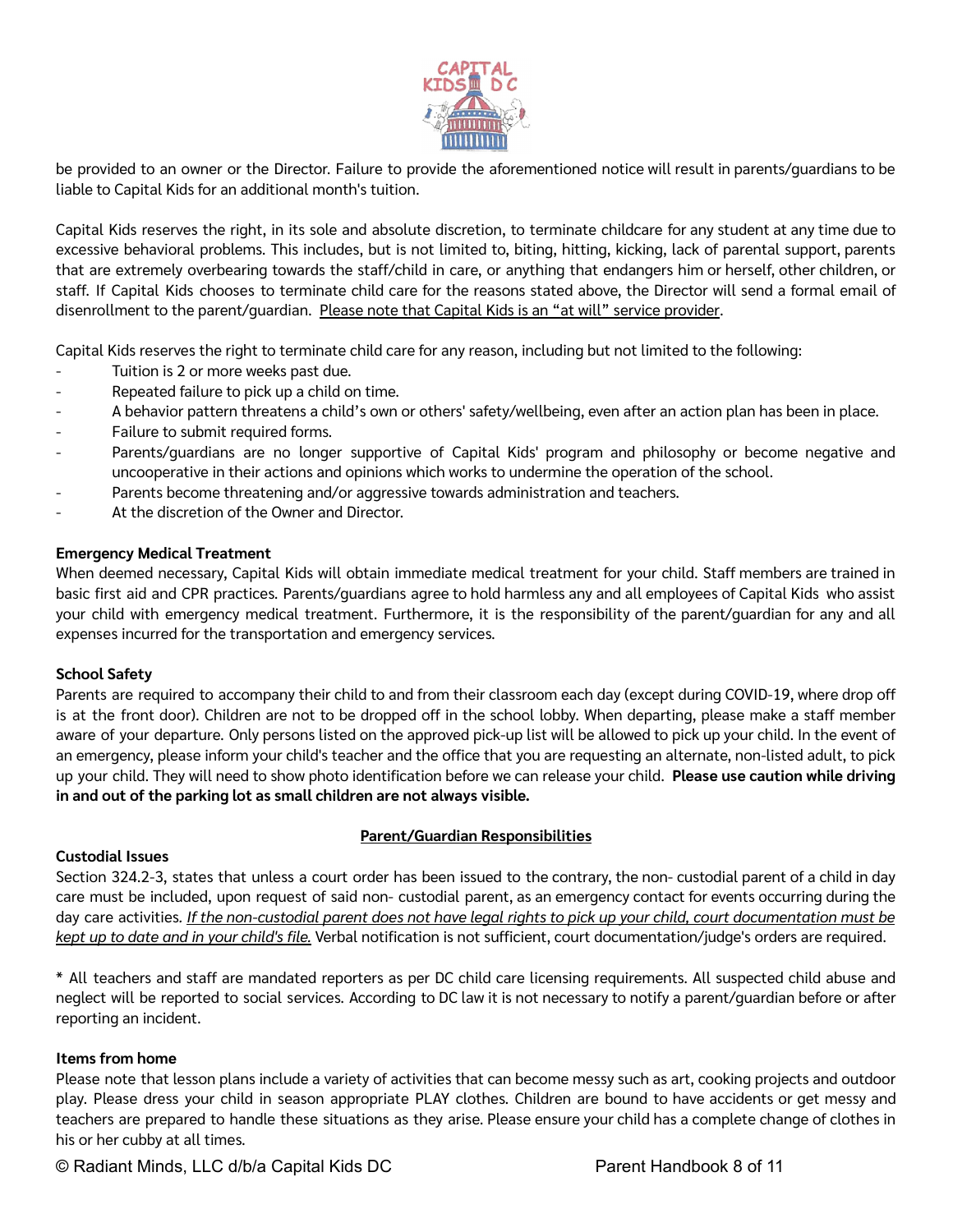

be provided to an owner or the Director. Failure to provide the aforementioned notice will result in parents/guardians to be liable to Capital Kids for an additional month's tuition.

Capital Kids reserves the right, in its sole and absolute discretion, to terminate childcare for any student at any time due to excessive behavioral problems. This includes, but is not limited to, biting, hitting, kicking, lack of parental support, parents that are extremely overbearing towards the staff/child in care, or anything that endangers him or herself, other children, or staff. If Capital Kids chooses to terminate child care for the reasons stated above, the Director will send a formal email of disenrollment to the parent/guardian. Please note that Capital Kids is an "at will" service provider.

Capital Kids reserves the right to terminate child care for any reason, including but not limited to the following:

- Tuition is 2 or more weeks past due.
- Repeated failure to pick up a child on time.
- A behavior pattern threatens a child's own or others' safety/wellbeing, even after an action plan has been in place.
- Failure to submit required forms.
- Parents/guardians are no longer supportive of Capital Kids' program and philosophy or become negative and uncooperative in their actions and opinions which works to undermine the operation of the school.
- Parents become threatening and/or aggressive towards administration and teachers.
- At the discretion of the Owner and Director.

#### **Emergency Medical Treatment**

When deemed necessary, Capital Kids will obtain immediate medical treatment for your child. Staff members are trained in basic first aid and CPR practices. Parents/guardians agree to hold harmless any and all employees of Capital Kids who assist your child with emergency medical treatment. Furthermore, it is the responsibility of the parent/guardian for any and all expenses incurred for the transportation and emergency services.

#### **School Safety**

Parents are required to accompany their child to and from their classroom each day (except during COVID-19, where drop off is at the front door). Children are not to be dropped off in the school lobby. When departing, please make a staff member aware of your departure. Only persons listed on the approved pick-up list will be allowed to pick up your child. In the event of an emergency, please inform your child's teacher and the office that you are requesting an alternate, non-listed adult, to pick up your child. They will need to show photo identification before we can release your child. **Please use caution while driving in and out of the parking lot as small children are not always visible.**

#### **Custodial Issues**

#### **Parent/Guardian Responsibilities**

Section 324.2-3, states that unless a court order has been issued to the contrary, the non- custodial parent of a child in day care must be included, upon request of said non- custodial parent, as an emergency contact for events occurring during the day care activities. If the non-custodial parent does not have legal rights to pick up your child, court documentation must be *kept up to date and in your child's file.* Verbal notification is not sufficient, court documentation/judge's orders are required.

\* All teachers and staff are mandated reporters as per DC child care licensing requirements. All suspected child abuse and neglect will be reported to social services. According to DC law it is not necessary to notify a parent/guardian before or after reporting an incident.

#### **Items from home**

Please note that lesson plans include a variety of activities that can become messy such as art, cooking projects and outdoor play. Please dress your child in season appropriate PLAY clothes. Children are bound to have accidents or get messy and teachers are prepared to handle these situations as they arise. Please ensure your child has a complete change of clothes in his or her cubby at all times.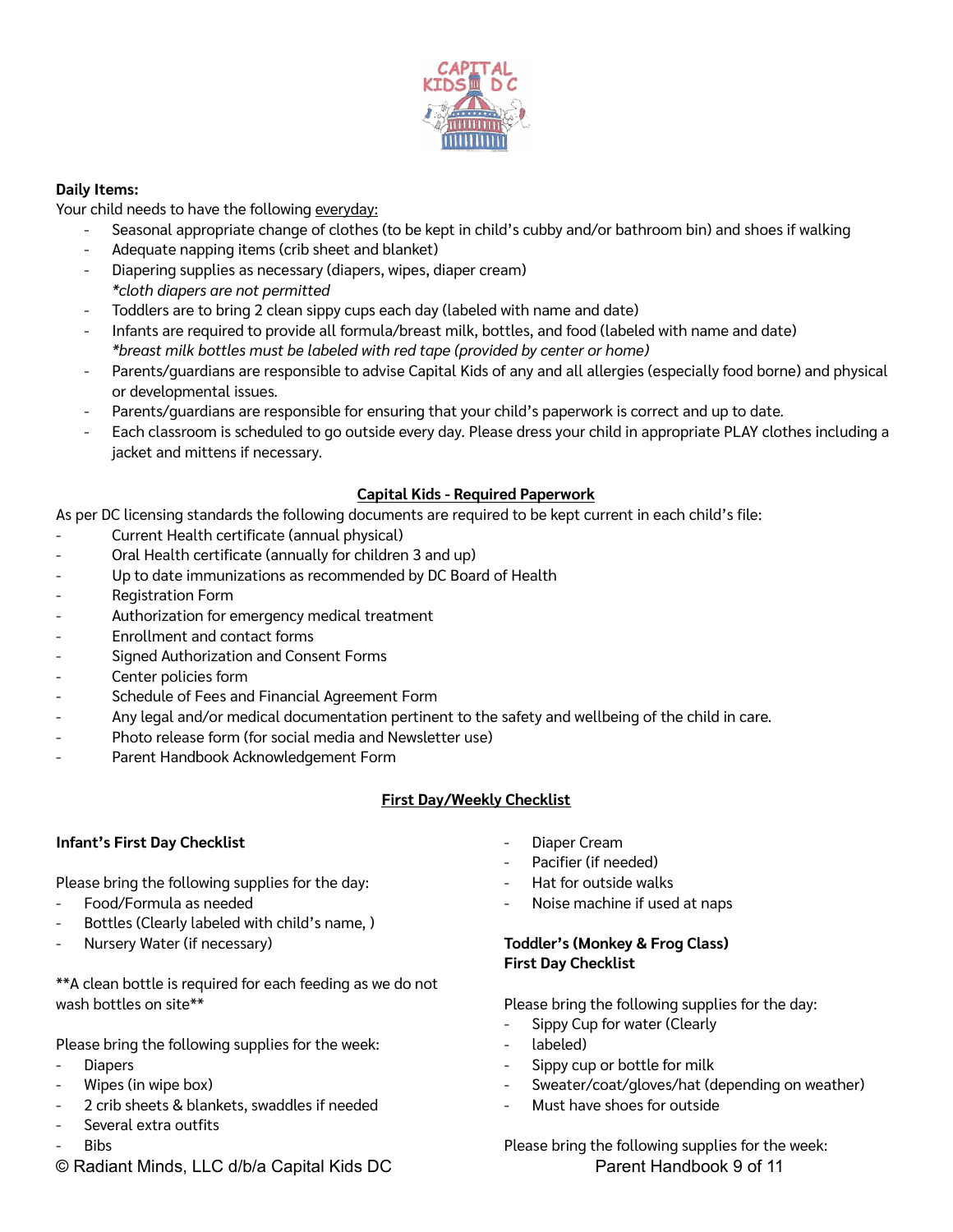

# **Daily Items:**

Your child needs to have the following everyday:

- Seasonal appropriate change of clothes (to be kept in child's cubby and/or bathroom bin) and shoes if walking
- Adequate napping items (crib sheet and blanket)
- Diapering supplies as necessary (diapers, wipes, diaper cream) *\*cloth diapers are not permitted*
- Toddlers are to bring 2 clean sippy cups each day (labeled with name and date)
- Infants are required to provide all formula/breast milk, bottles, and food (labeled with name and date) *\*breast milk bottles must be labeled with red tape (provided by center or home)*
- Parents/guardians are responsible to advise Capital Kids of any and all allergies (especially food borne) and physical or developmental issues.
- Parents/guardians are responsible for ensuring that your child's paperwork is correct and up to date.
- Each classroom is scheduled to go outside every day. Please dress your child in appropriate PLAY clothes including a jacket and mittens if necessary.

# **Capital Kids - Required Paperwork**

As per DC licensing standards the following documents are required to be kept current in each child's file:

- Current Health certificate (annual physical)
- Oral Health certificate (annually for children 3 and up)
- Up to date immunizations as recommended by DC Board of Health
- Registration Form
- Authorization for emergency medical treatment
- Enrollment and contact forms
- Signed Authorization and Consent Forms
- Center policies form
- Schedule of Fees and Financial Agreement Form
- Any legal and/or medical documentation pertinent to the safety and wellbeing of the child in care.
- Photo release form (for social media and Newsletter use)
- Parent Handbook Acknowledgement Form

#### **First Day/Weekly Checklist**

#### **Infant's First Day Checklist**

Please bring the following supplies for the day:

- Food/Formula as needed
- Bottles (Clearly labeled with child's name, )
- Nursery Water (if necessary)

\*\*A clean bottle is required for each feeding as we do not wash bottles on site\*\*

Please bring the following supplies for the week:

- **Diapers**
- Wipes (in wipe box)
- 2 crib sheets & blankets, swaddles if needed
- Several extra outfits
- **Bibs**
- © Radiant Minds, LLC d/b/a Capital Kids DC Parent Handbook 9 of 11
- Diaper Cream
- Pacifier (if needed)
- Hat for outside walks
- Noise machine if used at naps

# **Toddler's (Monkey & Frog Class) First Day Checklist**

Please bring the following supplies for the day:

- Sippy Cup for water (Clearly
- labeled)
- Sippy cup or bottle for milk
- Sweater/coat/gloves/hat (depending on weather)
- Must have shoes for outside

Please bring the following supplies for the week: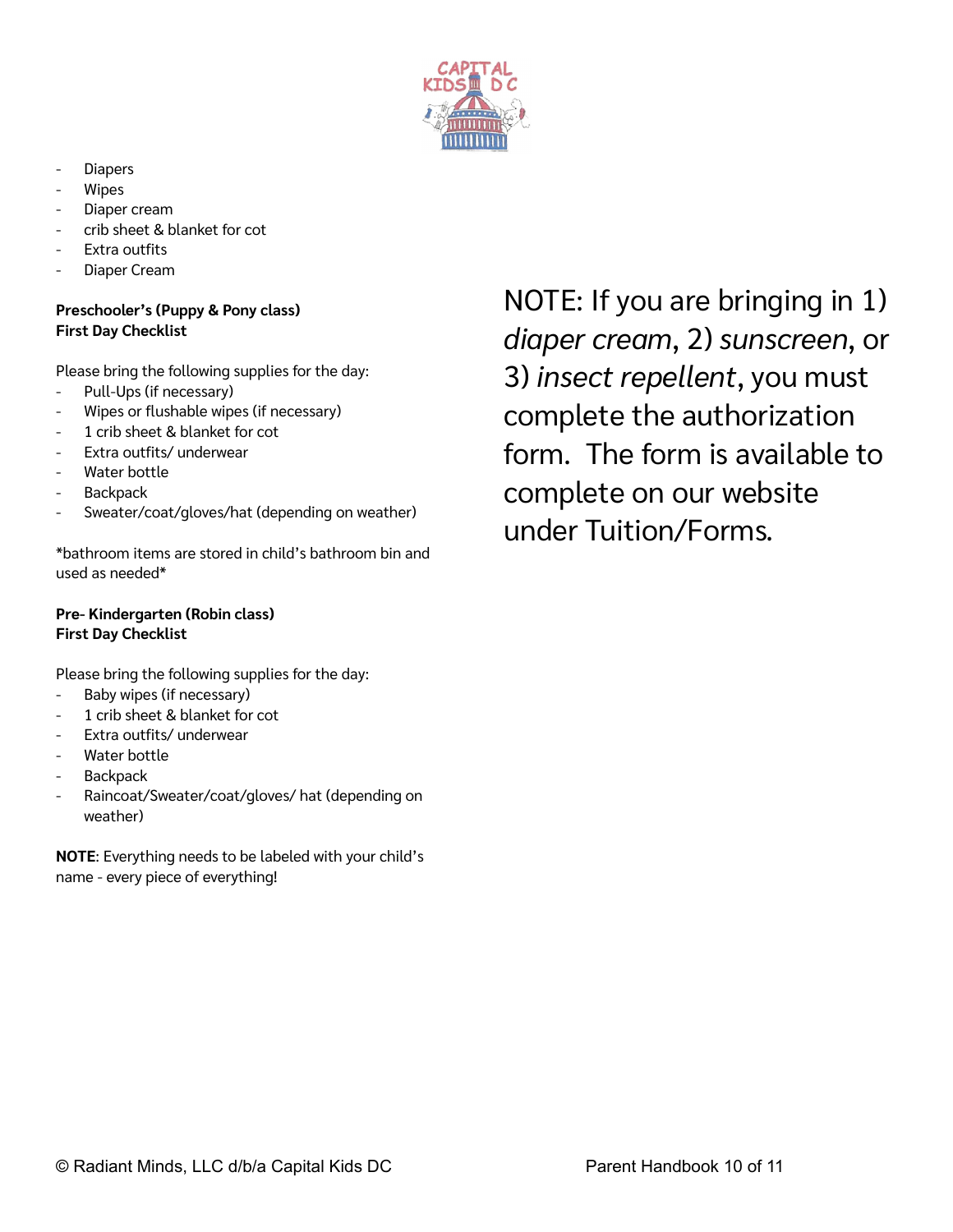

- **Diapers**
- **Wipes**
- Diaper cream
- crib sheet & blanket for cot
- Extra outfits
- Diaper Cream

# **Preschooler's (Puppy & Pony class) First Day Checklist**

Please bring the following supplies for the day:

- Pull-Ups (if necessary)
- Wipes or flushable wipes (if necessary)
- 1 crib sheet & blanket for cot
- Extra outfits/ underwear
- Water bottle
- **Backpack**
- Sweater/coat/gloves/hat (depending on weather)

\*bathroom items are stored in child's bathroom bin and used as needed\*

#### **Pre- Kindergarten (Robin class) First Day Checklist**

Please bring the following supplies for the day:

- Baby wipes (if necessary)
- 1 crib sheet & blanket for cot
- Extra outfits/ underwear
- Water bottle
- Backpack
- Raincoat/Sweater/coat/gloves/ hat (depending on weather)

**NOTE**: Everything needs to be labeled with your child's name - every piece of everything!

NOTE: If you are bringing in 1) *diaper cream*, 2) *sunscreen*, or 3) *insect repellent*, you must complete the authorization form. The form is available to complete on our website under Tuition/Forms.